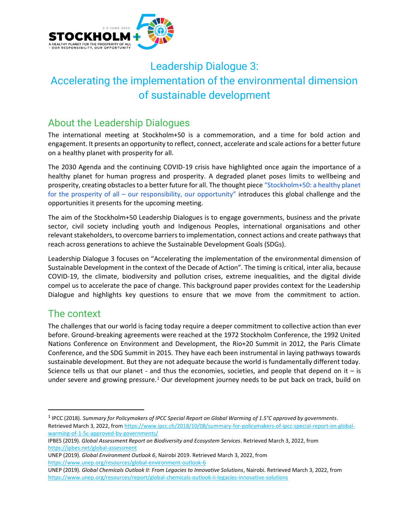

# Leadership Dialogue 3: Accelerating the implementation of the environmental dimension of sustainable development

# About the Leadership Dialogues

The international meeting at Stockholm+50 is a commemoration, and a time for bold action and engagement. It presents an opportunity to reflect, connect, accelerate and scale actions for a better future on a healthy planet with prosperity for all.

The 2030 Agenda and the continuing COVID-19 crisis have highlighted once again the importance of a healthy planet for human progress and prosperity. A degraded planet poses limits to wellbeing and prosperity, creating obstacles to a better future for all. The thought piec[e](https://wedocs.unep.org/bitstream/handle/20.500.11822/36939/STKLM50_HP.pdf) ["Stockholm+50: a healthy planet](https://wedocs.unep.org/bitstream/handle/20.500.11822/36939/STKLM50_HP.pdf)  for the prosperity of all – [our responsibility, our opportunity"](https://wedocs.unep.org/bitstream/handle/20.500.11822/36939/STKLM50_HP.pdf) introduces this global challenge and the opportunities it presents for the upcoming meeting.

The aim of the Stockholm+50 Leadership Dialogues is to engage governments, business and the private sector, civil society including youth and Indigenous Peoples, international organisations and other relevant stakeholders, to overcome barriers to implementation, connect actions and create pathwaysthat reach across generations to achieve the Sustainable Development Goals (SDGs).

Leadership Dialogue 3 focuses on "Accelerating the implementation of the environmental dimension of Sustainable Development in the context of the Decade of Action". The timing is critical, inter alia, because COVID-19, the climate, biodiversity and pollution crises, extreme inequalities, and the digital divide compel us to accelerate the pace of change. This background paper provides context for the Leadership Dialogue and highlights key questions to ensure that we move from the commitment to action.

# The context

The challenges that our world is facing today require a deeper commitment to collective action than ever before. Ground-breaking agreements were reached at the 1972 Stockholm Conference, the 1992 United Nations Conference on Environment and Development, the Rio+20 Summit in 2012, the Paris Climate Conference, and the SDG Summit in 2015. They have each been instrumental in laying pathways towards sustainable development. But they are not adequate because the world is fundamentally different today. Science tells us that our planet - and thus the economies, societies, and people that depend on it  $-$  is under severe and growing pressure.<sup>1</sup> Our development journey needs to be put back on track, build on

UNEP (2019). *Global Environment Outlook 6*, Nairobi 2019. Retrieved March 3, 2022, from <https://www.unep.org/resources/global-environment-outlook-6>

<sup>1</sup> IPCC (2018). *Summary for Policymakers of IPCC Special Report on Global Warming of 1.5°C approved by governments*. Retrieved March 3, 2022, fro[m https://www.ipcc.ch/2018/10/08/summary-for-policymakers-of-ipcc-special-report-on-global](https://www.ipcc.ch/2018/10/08/summary-for-policymakers-of-ipcc-special-report-on-global-warming-of-1-5c-approved-by-governments/)[warming-of-1-5c-approved-by-governments/](https://www.ipcc.ch/2018/10/08/summary-for-policymakers-of-ipcc-special-report-on-global-warming-of-1-5c-approved-by-governments/)

IPBES (2019). *Global Assessment Report on Biodiversity and Ecosystem Services*. Retrieved March 3, 2022, from <https://ipbes.net/global-assessment>

UNEP (2019). *Global Chemicals Outlook II: From Legacies to Innovative Solutions*, Nairobi. Retrieved March 3, 2022, from <https://www.unep.org/resources/report/global-chemicals-outlook-ii-legacies-innovative-solutions>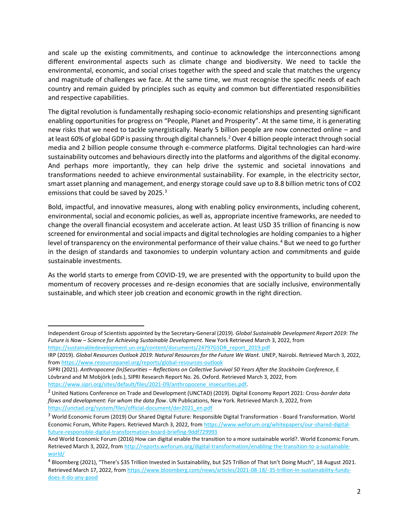and scale up the existing commitments, and continue to acknowledge the interconnections among different environmental aspects such as climate change and biodiversity. We need to tackle the environmental, economic, and social crises together with the speed and scale that matches the urgency and magnitude of challenges we face. At the same time, we must recognise the specific needs of each country and remain guided by principles such as equity and common but differentiated responsibilities and respective capabilities.

The digital revolution is fundamentally reshaping socio-economic relationships and presenting significant enabling opportunities for progress on "People, Planet and Prosperity". At the same time, it is generating new risks that we need to tackle synergistically. Nearly 5 billion people are now connected online – and at least 60% of global GDP is passing through digital channels.<sup>2</sup> Over 4 billion people interact through social media and 2 billion people consume through e-commerce platforms. Digital technologies can hard-wire sustainability outcomes and behaviours directly into the platforms and algorithms of the digital economy. And perhaps more importantly, they can help drive the systemic and societal innovations and transformations needed to achieve environmental sustainability. For example, in the electricity sector, smart asset planning and management, and energy storage could save up to 8.8 billion metric tons of CO2 emissions that could be saved by 2025.<sup>3</sup>

Bold, impactful, and innovative measures, along with enabling policy environments, including coherent, environmental, social and economic policies, as well as, appropriate incentive frameworks, are needed to change the overall financial ecosystem and accelerate action. At least USD 35 trillion of financing is now screened for environmental and social impacts and digital technologies are holding companies to a higher level of transparency on the environmental performance of their value chains.<sup>4</sup> But we need to go further in the design of standards and taxonomies to underpin voluntary action and commitments and guide sustainable investments.

As the world starts to emerge from COVID-19, we are presented with the opportunity to build upon the momentum of recovery processes and re-design economies that are socially inclusive, environmentally sustainable, and which steer job creation and economic growth in the right direction.

Independent Group of Scientists appointed by the Secretary-General (2019). *Global Sustainable Development Report 2019: The Future is Now – Science for Achieving Sustainable Development.* New York Retrieved March 3, 2022, from [https://sustainabledevelopment.un.org/content/documents/24797GSDR\\_report\\_2019.pdf](https://sustainabledevelopment.un.org/content/documents/24797GSDR_report_2019.pdf)

IRP (2019). *Global Resources Outlook 2019: Natural Resources for the Future We Want.* UNEP, Nairobi. Retrieved March 3, 2022, from <https://www.resourcepanel.org/reports/global-resources-outlook>

SIPRI (2021). *Anthropocene (In)Securities – Reflections on Collective Survival 50 Years After the Stockholm Conference*, E Lövbrand and M Mobjörk (eds.), SIPRI Research Report No. 26. Oxford. Retrieved March 3, 2022, from [https://www.sipri.org/sites/default/files/2021-09/anthropocene\\_insecurities.pdf.](https://www.sipri.org/sites/default/files/2021-09/anthropocene_insecurities.pdf)

<sup>2</sup> United Nations Conference on Trade and Development (UNCTAD) (2019). Digital Economy Report 2021: Cross*-border data flows and development: For whom the data flow*. UN Publications, New York. Retrieved March 3, 2022, from [https://unctad.org/system/files/official-document/der2021\\_en.pdf](https://unctad.org/system/files/official-document/der2021_en.pdf)

<sup>&</sup>lt;sup>3</sup> World Economic Forum (2019) Our Shared Digital Future: Responsible Digital Transformation - Board Transformation. World Economic Forum, White Papers. Retrieved March 3, 2022, fro[m https://www.weforum.org/whitepapers/our-shared-digital](https://www.weforum.org/whitepapers/our-shared-digital-future-responsible-digital-transformation-board-briefing-9ddf729993)[future-responsible-digital-transformation-board-briefing-9ddf729993](https://www.weforum.org/whitepapers/our-shared-digital-future-responsible-digital-transformation-board-briefing-9ddf729993)

And World Economic Forum (2016) How can digital enable the transition to a more sustainable world?. World Economic Forum. Retrieved March 3, 2022, fro[m http://reports.weforum.org/digital-transformation/enabling-the-transition-to-a-sustainable](http://reports.weforum.org/digital-transformation/enabling-the-transition-to-a-sustainable-world/)[world/](http://reports.weforum.org/digital-transformation/enabling-the-transition-to-a-sustainable-world/)

<sup>4</sup> Bloomberg (2021), "There's \$35 Trillion Invested in Sustainability, but \$25 Trillion of That Isn't Doing Much", 18 August 2021. Retrieved March 17, 2022, from [https://www.bloomberg.com/news/articles/2021-08-18/-35-trillion-in-sustainability-funds](https://www.bloomberg.com/news/articles/2021-08-18/-35-trillion-in-sustainability-funds-does-it-do-any-good)[does-it-do-any-good](https://www.bloomberg.com/news/articles/2021-08-18/-35-trillion-in-sustainability-funds-does-it-do-any-good)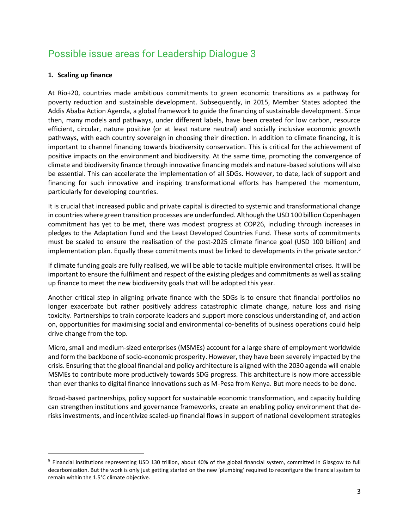# Possible issue areas for Leadership Dialogue 3

#### **1. Scaling up finance**

At Rio+20, countries made ambitious commitments to green economic transitions as a pathway for poverty reduction and sustainable development. Subsequently, in 2015, Member States adopted the Addis Ababa Action Agenda, a global framework to guide the financing of sustainable development. Since then, many models and pathways, under different labels, have been created for low carbon, resource efficient, circular, nature positive (or at least nature neutral) and socially inclusive economic growth pathways, with each country sovereign in choosing their direction. In addition to climate financing, it is important to channel financing towards biodiversity conservation. This is critical for the achievement of positive impacts on the environment and biodiversity. At the same time, promoting the convergence of climate and biodiversity finance through innovative financing models and nature-based solutions will also be essential. This can accelerate the implementation of all SDGs. However, to date, lack of support and financing for such innovative and inspiring transformational efforts has hampered the momentum, particularly for developing countries.

It is crucial that increased public and private capital is directed to systemic and transformational change in countries where green transition processes are underfunded. Although the USD 100 billion Copenhagen commitment has yet to be met, there was modest progress at COP26, including through increases in pledges to the Adaptation Fund and the Least Developed Countries Fund. These sorts of commitments must be scaled to ensure the realisation of the post-2025 climate finance goal (USD 100 billion) and implementation plan. Equally these commitments must be linked to developments in the private sector.<sup>5</sup>

If climate funding goals are fully realised, we will be able to tackle multiple environmental crises. It will be important to ensure the fulfilment and respect of the existing pledges and commitments as well as scaling up finance to meet the new biodiversity goals that will be adopted this year.

Another critical step in aligning private finance with the SDGs is to ensure that financial portfolios no longer exacerbate but rather positively address catastrophic climate change, nature loss and rising toxicity. Partnerships to train corporate leaders and support more conscious understanding of, and action on, opportunities for maximising social and environmental co-benefits of business operations could help drive change from the top.

[Micro, small and medium-sized enterprises \(](https://www.wto.org/english/news_e/archive_e/msmes_arc_e.htm)MSMEs) account for a large share of employment worldwide and form the backbone of socio-economic prosperity. However, they have been severely impacted by the crisis. Ensuring that the global financial and policy architecture is aligned with the 2030 agenda will enable MSMEs to contribute more productively towards SDG progress. This architecture is now more accessible than ever thanks to digital finance innovations such as M-Pesa from Kenya. But more needs to be done.

Broad-based partnerships, policy support for sustainable economic transformation, and capacity building can strengthen institutions and governance frameworks, create an enabling policy environment that derisks investments, and incentivize scaled-up financial flows in support of national development strategies

<sup>&</sup>lt;sup>5</sup> Financial institutions representing USD 130 trillion, about 40% of the global financial system, committed in Glasgow to full decarbonization. But the work is only just getting started on the new 'plumbing' required to reconfigure the financial system to remain within the 1.5°C climate objective.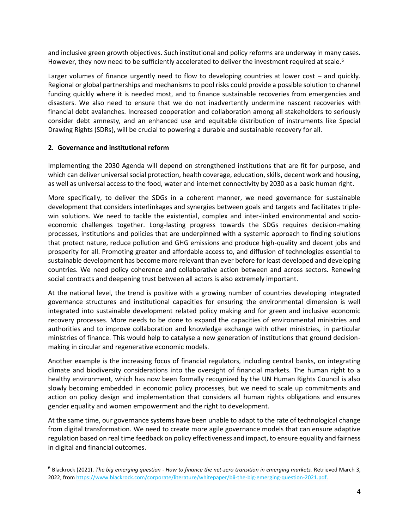and inclusive green growth objectives. Such institutional and policy reforms are underway in many cases. However, they now need to be sufficiently accelerated to deliver the investment required at scale.<sup>6</sup>

Larger volumes of finance urgently need to flow to developing countries at lower cost – and quickly. Regional or global partnerships and mechanisms to pool risks could provide a possible solution to channel funding quickly where it is needed most, and to finance sustainable recoveries from emergencies and disasters. We also need to ensure that we do not inadvertently undermine nascent recoveries with financial debt avalanches. Increased cooperation and collaboration among all stakeholders to seriously consider debt amnesty, and an enhanced use and equitable distribution of instruments like Special Drawing Rights (SDRs), will be crucial to powering a durable and sustainable recovery for all.

#### **2. Governance and institutional reform**

Implementing the 2030 Agenda will depend on strengthened institutions that are fit for purpose, and which can deliver universal social protection, health coverage, education, skills, decent work and housing, as well as universal access to the food, water and internet connectivity by 2030 as a basic human right.

More specifically, to deliver the SDGs in a coherent manner, we need governance for sustainable development that considers interlinkages and synergies between goals and targets and facilitates triplewin solutions. We need to tackle the existential, complex and inter-linked environmental and socioeconomic challenges together. Long-lasting progress towards the SDGs requires decision-making processes, institutions and policies that are underpinned with a systemic approach to finding solutions that protect nature, reduce pollution and GHG emissions and produce high-quality and decent jobs and prosperity for all. Promoting greater and affordable access to, and diffusion of technologies essential to sustainable development has become more relevant than ever before for least developed and developing countries. We need policy coherence and collaborative action between and across sectors. Renewing social contracts and deepening trust between all actors is also extremely important.

At the national level, the trend is positive with a growing number of countries developing integrated governance structures and institutional capacities for ensuring the environmental dimension is well integrated into sustainable development related policy making and for green and inclusive economic recovery processes. More needs to be done to expand the capacities of environmental ministries and authorities and to improve collaboration and knowledge exchange with other ministries, in particular ministries of finance. This would help to catalyse a new generation of institutions that ground decisionmaking in circular and regenerative economic models.

Another example is the increasing focus of financial regulators, including central banks, on integrating climate and biodiversity considerations into the oversight of financial markets. The human right to a healthy environment, which has now been formally recognized by the UN Human Rights Council is also slowly becoming embedded in economic policy processes, but we need to scale up commitments and action on policy design and implementation that considers all human rights obligations and ensures gender equality and women empowerment and the right to development.

At the same time, our governance systems have been unable to adapt to the rate of technological change from digital transformation. We need to create more agile governance models that can ensure adaptive regulation based on real time feedback on policy effectiveness and impact, to ensure equality and fairness in digital and financial outcomes.

<sup>6</sup> Blackrock (2021). *The big emerging question - How to finance the net-zero transition in emerging markets.* Retrieved March 3, 2022, fro[m https://www.blackrock.com/corporate/literature/whitepaper/bii-the-big-emerging-question-2021.pdf.](https://www.blackrock.com/corporate/literature/whitepaper/bii-the-big-emerging-question-2021.pdf)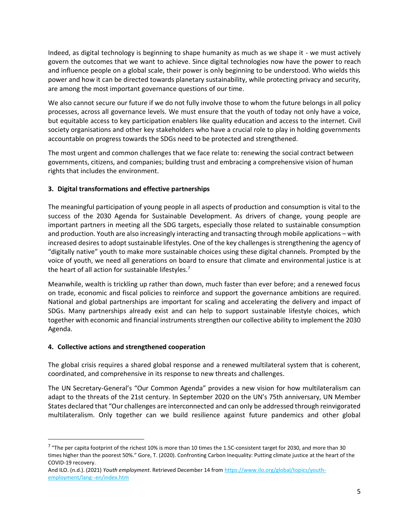Indeed, as digital technology is beginning to shape humanity as much as we shape it - we must actively govern the outcomes that we want to achieve. Since digital technologies now have the power to reach and influence people on a global scale, their power is only beginning to be understood. Who wields this power and how it can be directed towards planetary sustainability, while protecting privacy and security, are among the most important governance questions of our time.

We also cannot secure our future if we do not fully involve those to whom the future belongs in all policy processes, across all governance levels. We must ensure that the youth of today not only have a voice, but equitable access to key participation enablers like quality education and access to the internet. Civil society organisations and other key stakeholders who have a crucial role to play in holding governments accountable on progress towards the SDGs need to be protected and strengthened.

The most urgent and common challenges that we face relate to: renewing the social contract between governments, citizens, and companies; building trust and embracing a comprehensive vision of human rights that includes the environment.

#### **3. Digital transformations and effective partnerships**

The meaningful participation of young people in all aspects of production and consumption is vital to the success of the 2030 Agenda for Sustainable Development. As drivers of change, young people are important partners in meeting all the SDG targets, especially those related to sustainable consumption and production. Youth are also increasingly interacting and transacting through mobile applications – with increased desires to adopt sustainable lifestyles. One of the key challenges is strengthening the agency of "digitally native" youth to make more sustainable choices using these digital channels. Prompted by the voice of youth, we need all generations on board to ensure that climate and environmental justice is at the heart of all action for sustainable lifestyles.<sup>7</sup>

Meanwhile, wealth is trickling up rather than down, much faster than ever before; and a renewed focus on trade, economic and fiscal policies to reinforce and support the governance ambitions are required. National and global partnerships are important for scaling and accelerating the delivery and impact of SDGs. Many partnerships already exist and can help to support sustainable lifestyle choices, which together with economic and financial instruments strengthen our collective ability to implement the 2030 Agenda.

#### **4. Collective actions and strengthened cooperation**

The global crisis requires a shared global response and a renewed multilateral system that is coherent, coordinated, and comprehensive in its response to new threats and challenges.

The UN Secretary-General's "Our Common Agenda" provides a new vision for how multilateralism can adapt to the threats of the 21st century. In September 2020 on the UN's 75th anniversary, UN Member States declared that "Our challenges are interconnected and can only be addressed through reinvigorated multilateralism. Only together can we build resilience against future pandemics and other global

 $^7$  "The per capita footprint of the richest 10% is more than 10 times the 1.5C-consistent target for 2030, and more than 30 times higher than the poorest 50%." Gore, T. (2020). Confronting Carbon Inequality: Putting climate justice at the heart of the COVID-19 recovery.

And ILO. (n.d.). (2021) *Youth employment*. Retrieved December 14 fro[m https://www.ilo.org/global/topics/youth](https://www.ilo.org/global/topics/youth-employment/lang--en/index.htm)[employment/lang--en/index.htm](https://www.ilo.org/global/topics/youth-employment/lang--en/index.htm)